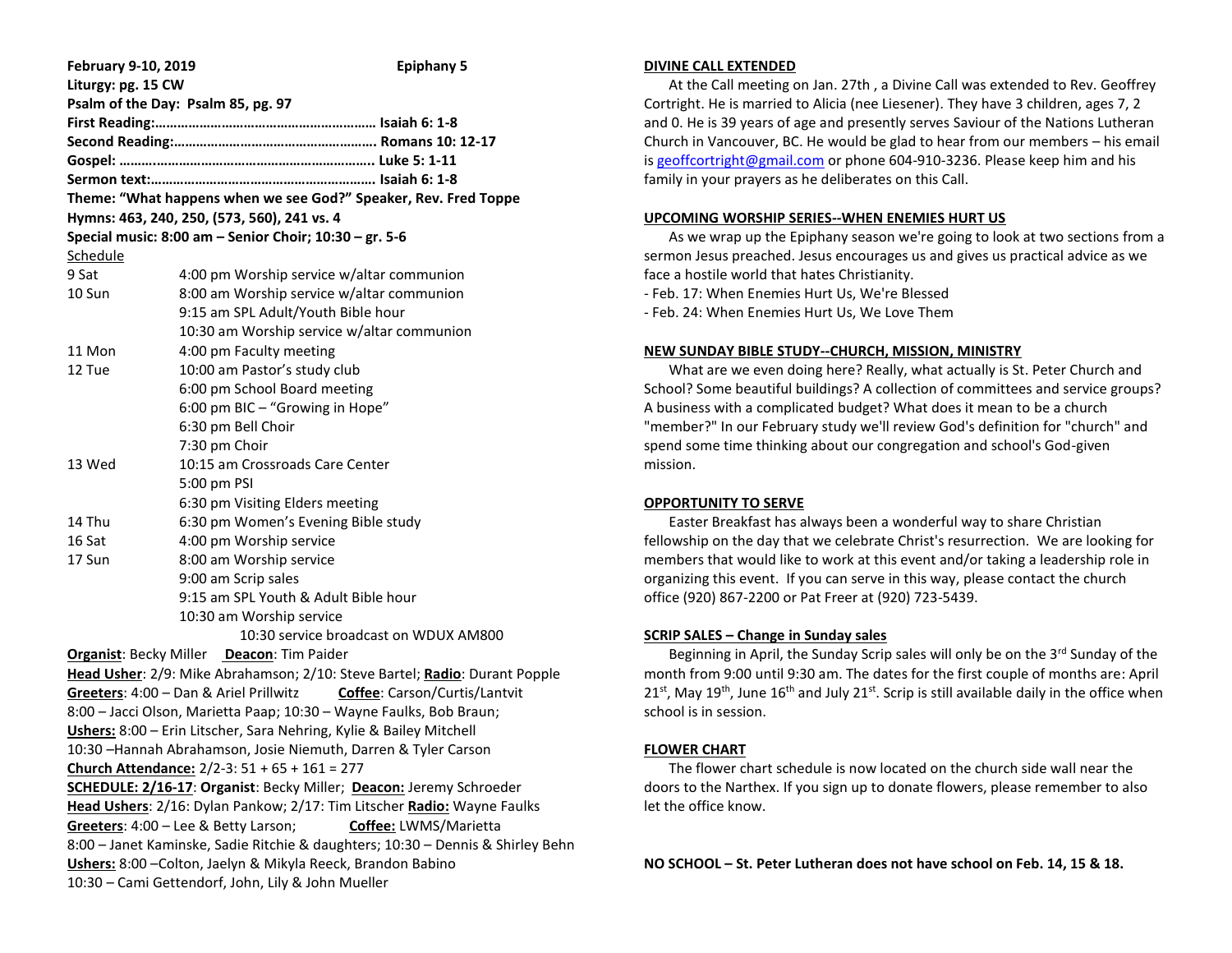| February 9-10, 2019                                                        | <b>Epiphany 5</b>                                                               |
|----------------------------------------------------------------------------|---------------------------------------------------------------------------------|
| Liturgy: pg. 15 CW                                                         |                                                                                 |
|                                                                            | Psalm of the Day: Psalm 85, pg. 97                                              |
|                                                                            |                                                                                 |
|                                                                            |                                                                                 |
|                                                                            |                                                                                 |
|                                                                            |                                                                                 |
|                                                                            | Theme: "What happens when we see God?" Speaker, Rev. Fred Toppe                 |
|                                                                            | Hymns: 463, 240, 250, (573, 560), 241 vs. 4                                     |
|                                                                            | Special music: 8:00 am - Senior Choir; 10:30 - gr. 5-6                          |
| Schedule                                                                   |                                                                                 |
| 9 Sat                                                                      | 4:00 pm Worship service w/altar communion                                       |
| 10 Sun                                                                     | 8:00 am Worship service w/altar communion                                       |
|                                                                            | 9:15 am SPL Adult/Youth Bible hour                                              |
|                                                                            | 10:30 am Worship service w/altar communion                                      |
| 11 Mon                                                                     | 4:00 pm Faculty meeting                                                         |
| 12 Tue                                                                     | 10:00 am Pastor's study club                                                    |
|                                                                            | 6:00 pm School Board meeting                                                    |
|                                                                            | 6:00 pm BIC - "Growing in Hope"                                                 |
|                                                                            | 6:30 pm Bell Choir                                                              |
|                                                                            | 7:30 pm Choir                                                                   |
| 13 Wed                                                                     | 10:15 am Crossroads Care Center                                                 |
|                                                                            | 5:00 pm PSI                                                                     |
|                                                                            | 6:30 pm Visiting Elders meeting                                                 |
| 14 Thu                                                                     | 6:30 pm Women's Evening Bible study                                             |
| 16 Sat                                                                     | 4:00 pm Worship service                                                         |
| 17 Sun                                                                     | 8:00 am Worship service                                                         |
|                                                                            | 9:00 am Scrip sales                                                             |
|                                                                            | 9:15 am SPL Youth & Adult Bible hour                                            |
|                                                                            | 10:30 am Worship service                                                        |
|                                                                            | 10:30 service broadcast on WDUX AM800                                           |
| Organist: Becky Miller Deacon: Tim Paider                                  |                                                                                 |
| Head Usher: 2/9: Mike Abrahamson; 2/10: Steve Bartel; Radio: Durant Popple |                                                                                 |
|                                                                            | Greeters: 4:00 - Dan & Ariel Prillwitz Coffee: Carson/Curtis/Lantvit            |
|                                                                            | 8:00 - Jacci Olson, Marietta Paap; 10:30 - Wayne Faulks, Bob Braun;             |
| Ushers: 8:00 - Erin Litscher, Sara Nehring, Kylie & Bailey Mitchell        |                                                                                 |
|                                                                            | 10:30 - Hannah Abrahamson, Josie Niemuth, Darren & Tyler Carson                 |
|                                                                            | Church Attendance: 2/2-3: 51 + 65 + 161 = 277                                   |
| SCHEDULE: 2/16-17: Organist: Becky Miller; Deacon: Jeremy Schroeder        |                                                                                 |
| Head Ushers: 2/16: Dylan Pankow; 2/17: Tim Litscher Radio: Wayne Faulks    |                                                                                 |
|                                                                            | Greeters: 4:00 - Lee & Betty Larson;<br>Coffee: LWMS/Marietta                   |
|                                                                            | 8:00 - Janet Kaminske, Sadie Ritchie & daughters; 10:30 - Dennis & Shirley Behn |
|                                                                            | Ushers: 8:00 - Colton, Jaelyn & Mikyla Reeck, Brandon Babino                    |
| 10:30 - Cami Gettendorf, John, Lily & John Mueller                         |                                                                                 |

#### **DIVINE CALL EXTENDED**

 At the Call meeting on Jan. 27th , a Divine Call was extended to Rev. Geoffrey Cortright. He is married to Alicia (nee Liesener). They have 3 children, ages 7, 2 and 0. He is 39 years of age and presently serves Saviour of the Nations Lutheran Church in Vancouver, BC. He would be glad to hear from our members – his email i[s geoffcortright@gmail.com](mailto:geoffcortright@gmail.com) or phone 604-910-3236. Please keep him and his family in your prayers as he deliberates on this Call.

### **UPCOMING WORSHIP SERIES--WHEN ENEMIES HURT US**

 As we wrap up the Epiphany season we're going to look at two sections from a sermon Jesus preached. Jesus encourages us and gives us practical advice as we face a hostile world that hates Christianity.

- Feb. 17: When Enemies Hurt Us, We're Blessed

- Feb. 24: When Enemies Hurt Us, We Love Them

### **NEW SUNDAY BIBLE STUDY--CHURCH, MISSION, MINISTRY**

 What are we even doing here? Really, what actually is St. Peter Church and School? Some beautiful buildings? A collection of committees and service groups? A business with a complicated budget? What does it mean to be a church "member?" In our February study we'll review God's definition for "church" and spend some time thinking about our congregation and school's God-given mission.

# **OPPORTUNITY TO SERVE**

 Easter Breakfast has always been a wonderful way to share Christian fellowship on the day that we celebrate Christ's resurrection. We are looking for members that would like to work at this event and/or taking a leadership role in organizing this event. If you can serve in this way, please contact the church office (920) 867-2200 or Pat Freer at (920) 723-5439.

# **SCRIP SALES – Change in Sunday sales**

Beginning in April, the Sunday Scrip sales will only be on the 3<sup>rd</sup> Sunday of the month from 9:00 until 9:30 am. The dates for the first couple of months are: April  $21<sup>st</sup>$ , May  $19<sup>th</sup>$ , June  $16<sup>th</sup>$  and July  $21<sup>st</sup>$ . Scrip is still available daily in the office when school is in session.

# **FLOWER CHART**

 The flower chart schedule is now located on the church side wall near the doors to the Narthex. If you sign up to donate flowers, please remember to also let the office know.

**NO SCHOOL – St. Peter Lutheran does not have school on Feb. 14, 15 & 18.**